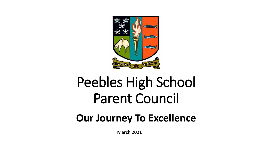

# Peebles High School Parent Council

# **Our Journey To Excellence**

**March 2021**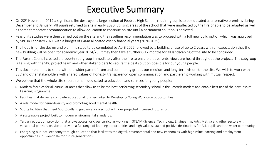### Executive Summary

- On 28<sup>th</sup> November 2019 a significant fire destroyed a large section of Peebles High School, requiring pupils to be educated at alternative premises during December and January. All pupils returned to site in early 2020, utilising areas of the school that were unaffected by the fire or able to be adapted as well as some temporary accommodation to allow education to continue on site until a permanent solution is achieved.
- Feasibility studies were then carried out on the site and the resulting recommendation was to proceed with a full new build option which was approved by SBC in February 2021 with a budget of £46m allocated over 5 financial years (2020-2025).
- The hope is for the design and planning stage to be completed by April 2022 followed by a building phase of up to 2 years with an expectation that the new building will be open for academic year 2024/25. It may then take a further 6-12 months for all landscaping of the site to be concluded.
- The Parent Council created a property sub-group immediately after the fire to ensure that parents' views are heard throughout the project. The subgroup is liaising with the SBC project team and other stakeholders to secure the best solution possible for our young people.
- This document aims to share with the wider parent forum and community groups our medium and long-term vision for the site. We wish to work with SBC and other stakeholders with shared values of honesty, transparency, open communication and partnership working with mutual respect.
- We believe that the whole site should remain dedicated to education and services for young people:
	- ▶ Modern facilities for all curricular areas that allow us to be the best performing secondary school in the Scottish Borders and enable best use of the new Inspire Learning Programme.
	- > Facilities that deliver a complete educational journey linked to Developing Young Workforce opportunities.
	- $\triangleright$  A role model for neurodiversity and promoting good mental health.
	- Sports facilities that meet SportScotland guidance for a school with our projected increased future roll.
	- $\triangleright$  A sustainable project built to modern environmental standards.
	- ▶ Tertiary education provision that allows access for cross curricular working in STEAM (Science, Technology, Engineering, Arts, Maths) and other sectors with vocational partners on site to provide a full range of learning opportunities and high value sustained positive destinations for ALL pupils and the wider community.
	- ▶ Energising our local economy through education that facilitates the digital, environmental and new economies with high value learning and employment opportunities in Tweeddale for future generations.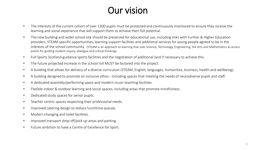### Our vision

- The interests of the current cohort of over 1300 pupils must be protected and continuously monitored to ensure they receive the learning and social experience that will support them to achieve their full potential.
- The new building and wider school site should be preserved for educational use, including links with Further & Higher Education providers, STEAM specific opportunities, learning support facilities and additional services for young people agreed to be in the interests of the school community. (STEAM is an approach to learning that uses Science, Technology, Engineering, the Arts and Mathematics as access points for guiding student inquiry, dialogue and critical thinking)
- Full Sports Scotland guidance sports facilities and the negotiation of additional land if necessary to achieve this.
- The future projected increase in the school roll MUST be factored into the project.
- A building that allows for delivery of a diverse curriculum (STEAM, English, languages, humanities, business, health and wellbeing).
- A building designed to promote an inclusive ethos including spaces that meeting the needs of neurodiverse pupils and staff.
- A dedicated assembly/performing space and modern music teaching facilities.
- Flexible indoor & outdoor learning and social spaces, including areas that promote mindfulness.
- Dedicated study spaces for senior pupils.
- Teacher centric spaces respecting their professional needs.
- Improved catering design to reduce lunchtime queues.
- Modern changing and toilet facilities.
- Improved transport drop off/pick up areas and parking.
- Future ambition to have a Centre of Excellence for Sport.